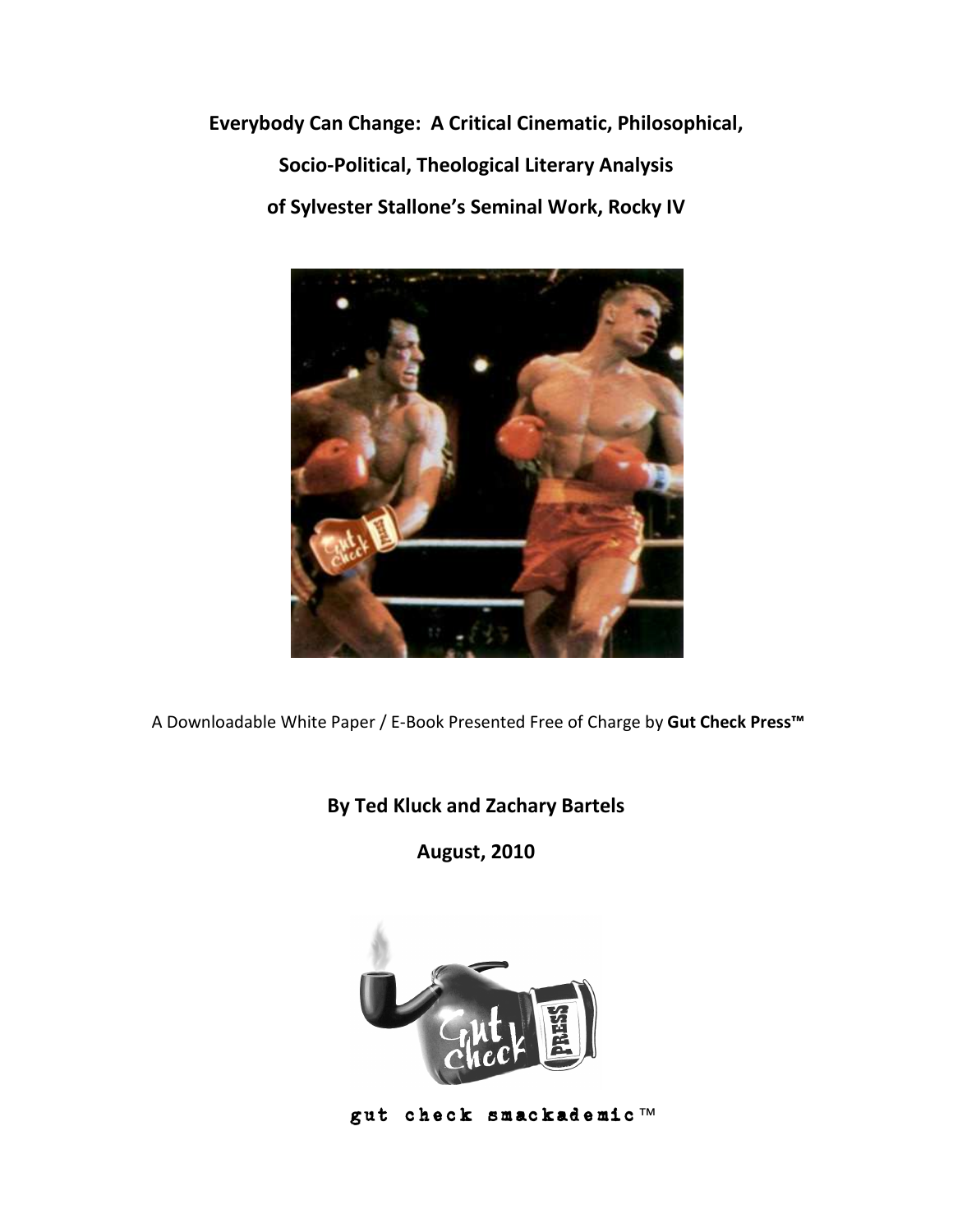**Everybody Can Change: A Critical Cinematic, Philosophical, Socio-Political, Theological Literary Analysis of Sylvester Stallone's Seminal Work, Rocky IV** 



A Downloadable White Paper / E-Book Presented Free of Charge by **Gut Check Press™** 

# **By Ted Kluck and Zachary Bartels**

**August, 2010** 



gut check smackademic™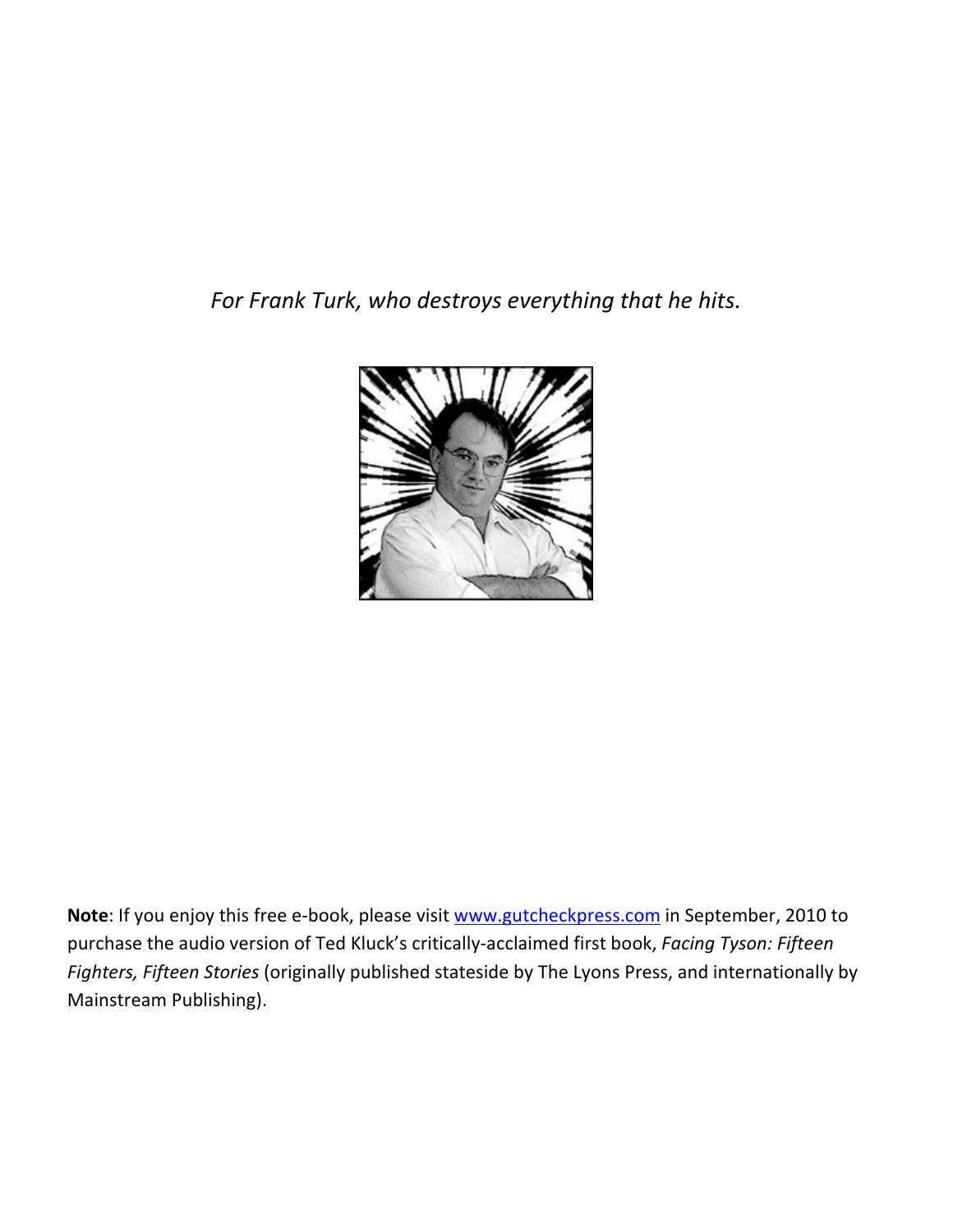*For Frank Turk, who destroys everything that he hits.* 



**Note**: If you enjoy this free e-book, please visit www.gutcheckpress.com in September, 2010 to purchase the audio version of Ted Kluck's critically-acclaimed first book, *Facing Tyson: Fifteen Fighters, Fifteen Stories* (originally published stateside by The Lyons Press, and internationally by Mainstream Publishing).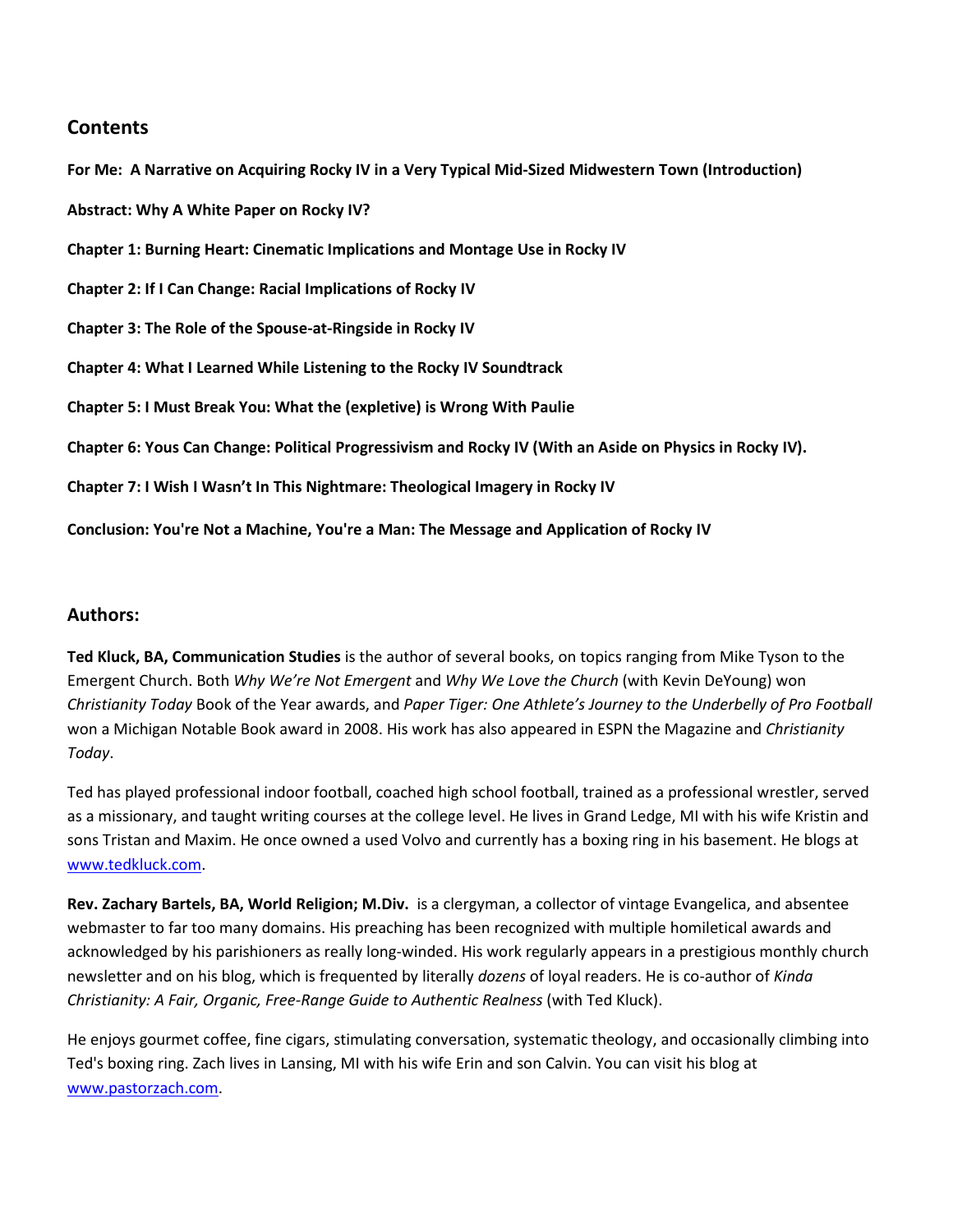# **Contents**

**For Me: A Narrative on Acquiring Rocky IV in a Very Typical Mid-Sized Midwestern Town (Introduction)** 

**Abstract: Why A White Paper on Rocky IV?** 

**Chapter 1: Burning Heart: Cinematic Implications and Montage Use in Rocky IV** 

**Chapter 2: If I Can Change: Racial Implications of Rocky IV** 

**Chapter 3: The Role of the Spouse-at-Ringside in Rocky IV** 

**Chapter 4: What I Learned While Listening to the Rocky IV Soundtrack** 

**Chapter 5: I Must Break You: What the (expletive) is Wrong With Paulie** 

**Chapter 6: Yous Can Change: Political Progressivism and Rocky IV (With an Aside on Physics in Rocky IV).** 

**Chapter 7: I Wish I Wasn't In This Nightmare: Theological Imagery in Rocky IV** 

**Conclusion: You're Not a Machine, You're a Man: The Message and Application of Rocky IV** 

#### **Authors:**

**Ted Kluck, BA, Communication Studies** is the author of several books, on topics ranging from Mike Tyson to the Emergent Church. Both *Why We're Not Emergent* and *Why We Love the Church* (with Kevin DeYoung) won *Christianity Today* Book of the Year awards, and *Paper Tiger: One Athlete's Journey to the Underbelly of Pro Football* won a Michigan Notable Book award in 2008. His work has also appeared in ESPN the Magazine and *Christianity Today*.

Ted has played professional indoor football, coached high school football, trained as a professional wrestler, served as a missionary, and taught writing courses at the college level. He lives in Grand Ledge, MI with his wife Kristin and sons Tristan and Maxim. He once owned a used Volvo and currently has a boxing ring in his basement. He blogs at www.tedkluck.com.

**Rev. Zachary Bartels, BA, World Religion; M.Div.** is a clergyman, a collector of vintage Evangelica, and absentee webmaster to far too many domains. His preaching has been recognized with multiple homiletical awards and acknowledged by his parishioners as really long-winded. His work regularly appears in a prestigious monthly church newsletter and on his blog, which is frequented by literally *dozens* of loyal readers. He is co-author of *Kinda Christianity: A Fair, Organic, Free-Range Guide to Authentic Realness* (with Ted Kluck).

He enjoys gourmet coffee, fine cigars, stimulating conversation, systematic theology, and occasionally climbing into Ted's boxing ring. Zach lives in Lansing, MI with his wife Erin and son Calvin. You can visit his blog at www.pastorzach.com.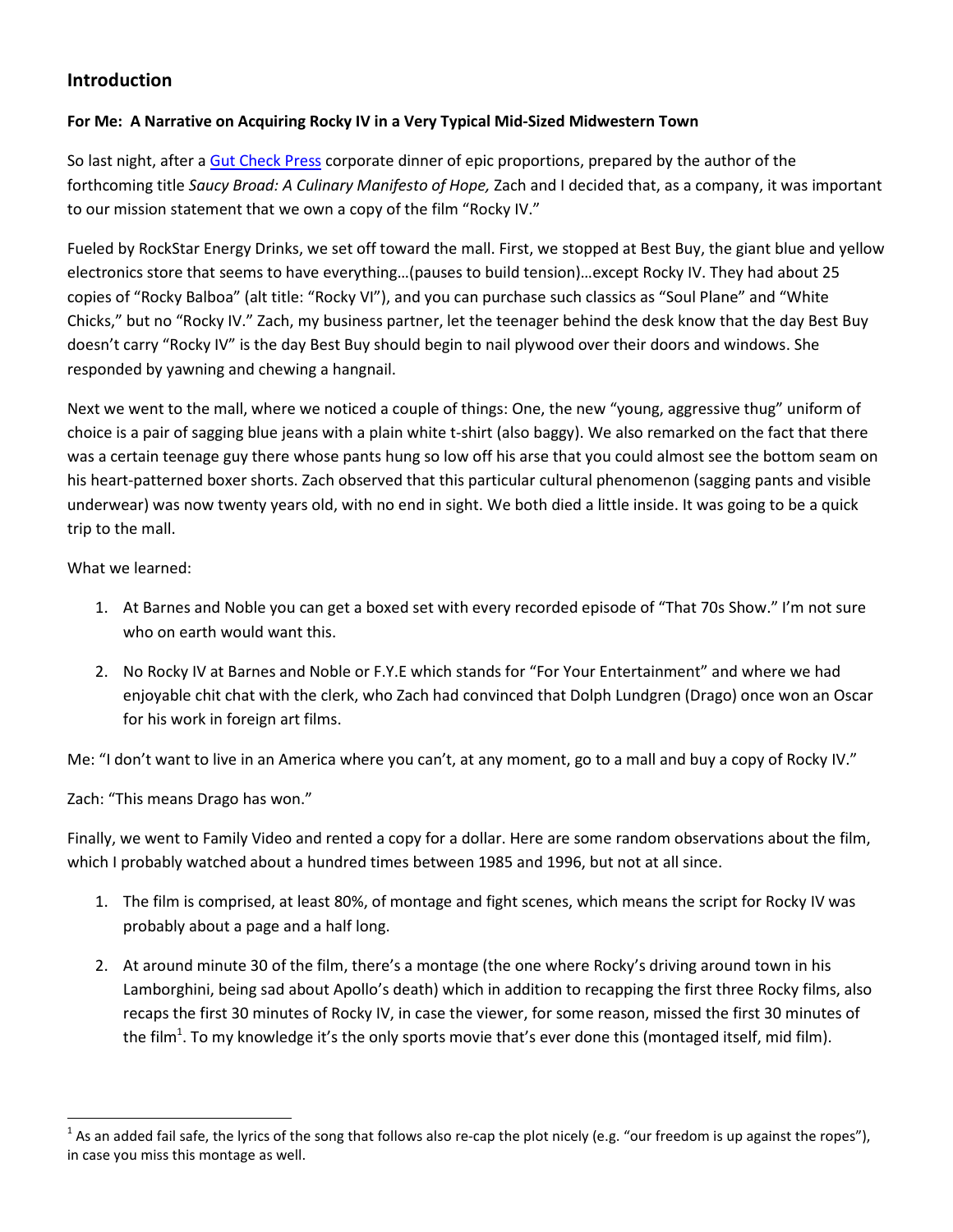# **Introduction**

#### **For Me: A Narrative on Acquiring Rocky IV in a Very Typical Mid-Sized Midwestern Town**

So last night, after a Gut Check Press corporate dinner of epic proportions, prepared by the author of the forthcoming title *Saucy Broad: A Culinary Manifesto of Hope,* Zach and I decided that, as a company, it was important to our mission statement that we own a copy of the film "Rocky IV."

Fueled by RockStar Energy Drinks, we set off toward the mall. First, we stopped at Best Buy, the giant blue and yellow electronics store that seems to have everything…(pauses to build tension)…except Rocky IV. They had about 25 copies of "Rocky Balboa" (alt title: "Rocky VI"), and you can purchase such classics as "Soul Plane" and "White Chicks," but no "Rocky IV." Zach, my business partner, let the teenager behind the desk know that the day Best Buy doesn't carry "Rocky IV" is the day Best Buy should begin to nail plywood over their doors and windows. She responded by yawning and chewing a hangnail.

Next we went to the mall, where we noticed a couple of things: One, the new "young, aggressive thug" uniform of choice is a pair of sagging blue jeans with a plain white t-shirt (also baggy). We also remarked on the fact that there was a certain teenage guy there whose pants hung so low off his arse that you could almost see the bottom seam on his heart-patterned boxer shorts. Zach observed that this particular cultural phenomenon (sagging pants and visible underwear) was now twenty years old, with no end in sight. We both died a little inside. It was going to be a quick trip to the mall.

What we learned:

l

- 1. At Barnes and Noble you can get a boxed set with every recorded episode of "That 70s Show." I'm not sure who on earth would want this.
- 2. No Rocky IV at Barnes and Noble or F.Y.E which stands for "For Your Entertainment" and where we had enjoyable chit chat with the clerk, who Zach had convinced that Dolph Lundgren (Drago) once won an Oscar for his work in foreign art films.

Me: "I don't want to live in an America where you can't, at any moment, go to a mall and buy a copy of Rocky IV."

Zach: "This means Drago has won."

Finally, we went to Family Video and rented a copy for a dollar. Here are some random observations about the film, which I probably watched about a hundred times between 1985 and 1996, but not at all since.

- 1. The film is comprised, at least 80%, of montage and fight scenes, which means the script for Rocky IV was probably about a page and a half long.
- 2. At around minute 30 of the film, there's a montage (the one where Rocky's driving around town in his Lamborghini, being sad about Apollo's death) which in addition to recapping the first three Rocky films, also recaps the first 30 minutes of Rocky IV, in case the viewer, for some reason, missed the first 30 minutes of the film<sup>1</sup>. To my knowledge it's the only sports movie that's ever done this (montaged itself, mid film).

<sup>&</sup>lt;sup>1</sup> As an added fail safe, the lyrics of the song that follows also re-cap the plot nicely (e.g. "our freedom is up against the ropes"), in case you miss this montage as well.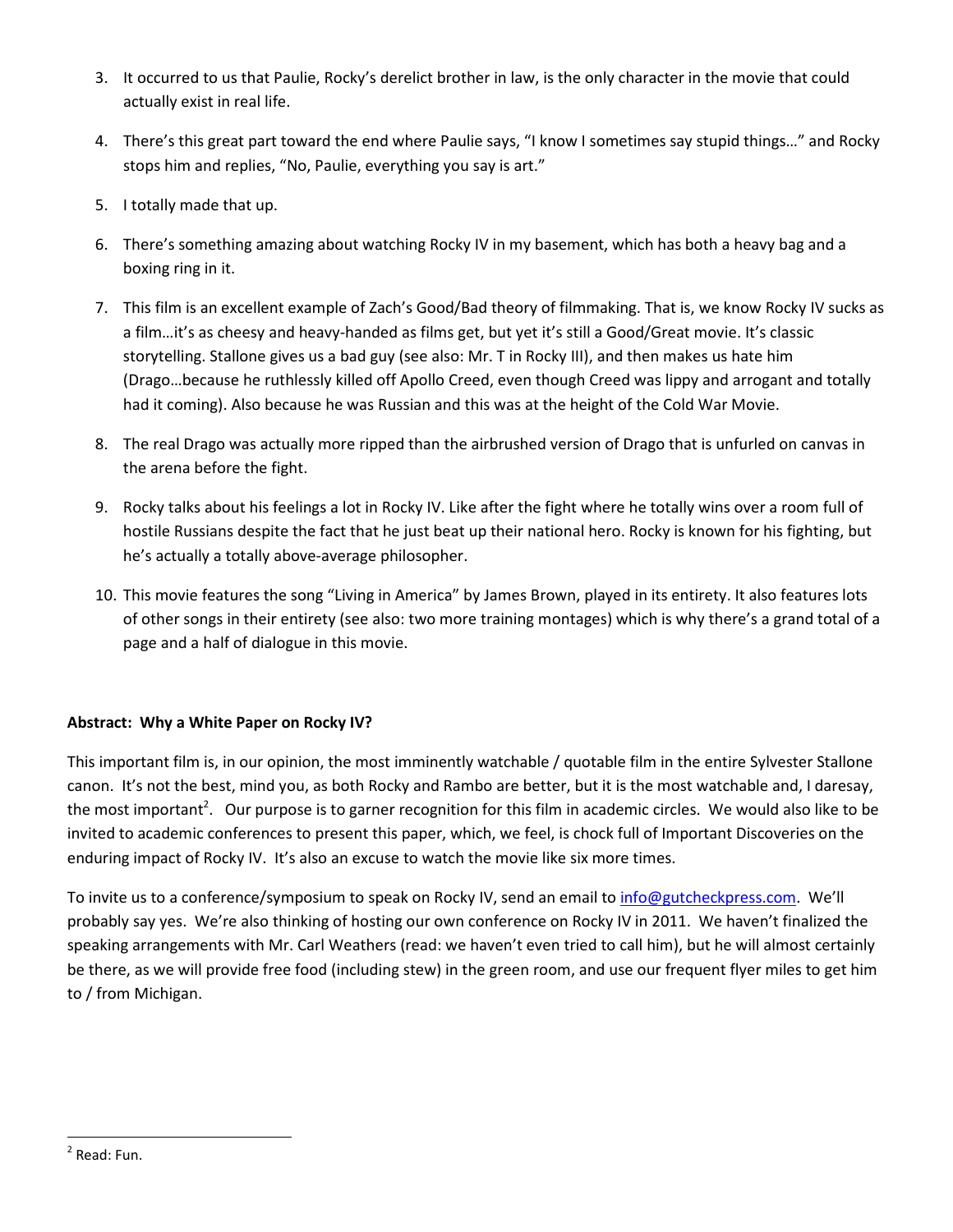- 3. It occurred to us that Paulie, Rocky's derelict brother in law, is the only character in the movie that could actually exist in real life.
- 4. There's this great part toward the end where Paulie says, "I know I sometimes say stupid things…" and Rocky stops him and replies, "No, Paulie, everything you say is art."
- 5. I totally made that up.
- 6. There's something amazing about watching Rocky IV in my basement, which has both a heavy bag and a boxing ring in it.
- 7. This film is an excellent example of Zach's Good/Bad theory of filmmaking. That is, we know Rocky IV sucks as a film…it's as cheesy and heavy-handed as films get, but yet it's still a Good/Great movie. It's classic storytelling. Stallone gives us a bad guy (see also: Mr. T in Rocky III), and then makes us hate him (Drago…because he ruthlessly killed off Apollo Creed, even though Creed was lippy and arrogant and totally had it coming). Also because he was Russian and this was at the height of the Cold War Movie.
- 8. The real Drago was actually more ripped than the airbrushed version of Drago that is unfurled on canvas in the arena before the fight.
- 9. Rocky talks about his feelings a lot in Rocky IV. Like after the fight where he totally wins over a room full of hostile Russians despite the fact that he just beat up their national hero. Rocky is known for his fighting, but he's actually a totally above-average philosopher.
- 10. This movie features the song "Living in America" by James Brown, played in its entirety. It also features lots of other songs in their entirety (see also: two more training montages) which is why there's a grand total of a page and a half of dialogue in this movie.

#### **Abstract: Why a White Paper on Rocky IV?**

This important film is, in our opinion, the most imminently watchable / quotable film in the entire Sylvester Stallone canon. It's not the best, mind you, as both Rocky and Rambo are better, but it is the most watchable and, I daresay, the most important<sup>2</sup>. Our purpose is to garner recognition for this film in academic circles. We would also like to be invited to academic conferences to present this paper, which, we feel, is chock full of Important Discoveries on the enduring impact of Rocky IV. It's also an excuse to watch the movie like six more times.

To invite us to a conference/symposium to speak on Rocky IV, send an email to info@gutcheckpress.com. We'll probably say yes. We're also thinking of hosting our own conference on Rocky IV in 2011. We haven't finalized the speaking arrangements with Mr. Carl Weathers (read: we haven't even tried to call him), but he will almost certainly be there, as we will provide free food (including stew) in the green room, and use our frequent flyer miles to get him to / from Michigan.

<sup>&</sup>lt;sup>2</sup> Read: Fun.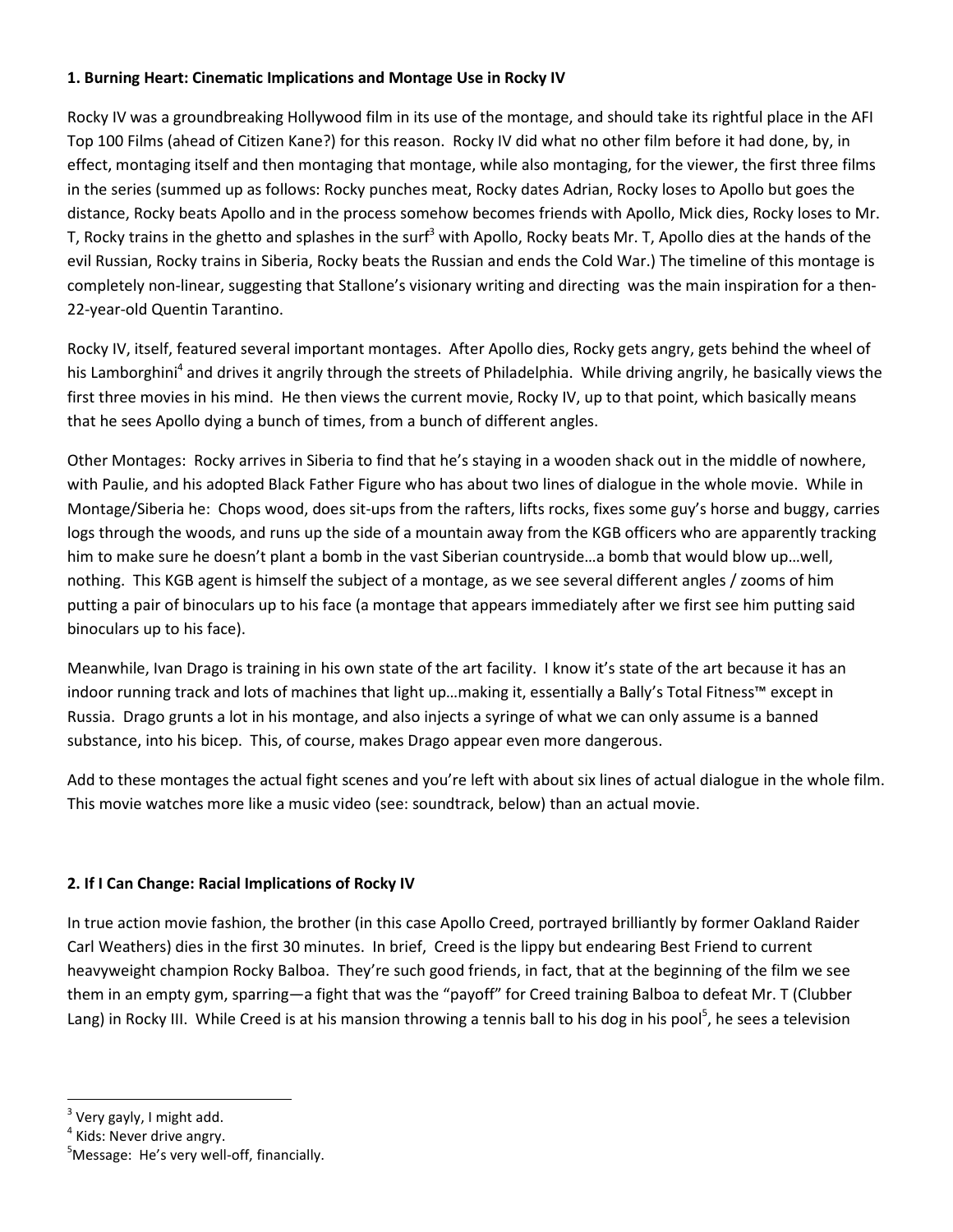#### **1. Burning Heart: Cinematic Implications and Montage Use in Rocky IV**

Rocky IV was a groundbreaking Hollywood film in its use of the montage, and should take its rightful place in the AFI Top 100 Films (ahead of Citizen Kane?) for this reason. Rocky IV did what no other film before it had done, by, in effect, montaging itself and then montaging that montage, while also montaging, for the viewer, the first three films in the series (summed up as follows: Rocky punches meat, Rocky dates Adrian, Rocky loses to Apollo but goes the distance, Rocky beats Apollo and in the process somehow becomes friends with Apollo, Mick dies, Rocky loses to Mr. T, Rocky trains in the ghetto and splashes in the surf<sup>3</sup> with Apollo, Rocky beats Mr. T, Apollo dies at the hands of the evil Russian, Rocky trains in Siberia, Rocky beats the Russian and ends the Cold War.) The timeline of this montage is completely non-linear, suggesting that Stallone's visionary writing and directing was the main inspiration for a then-22-year-old Quentin Tarantino.

Rocky IV, itself, featured several important montages. After Apollo dies, Rocky gets angry, gets behind the wheel of his Lamborghini<sup>4</sup> and drives it angrily through the streets of Philadelphia. While driving angrily, he basically views the first three movies in his mind. He then views the current movie, Rocky IV, up to that point, which basically means that he sees Apollo dying a bunch of times, from a bunch of different angles.

Other Montages: Rocky arrives in Siberia to find that he's staying in a wooden shack out in the middle of nowhere, with Paulie, and his adopted Black Father Figure who has about two lines of dialogue in the whole movie. While in Montage/Siberia he: Chops wood, does sit-ups from the rafters, lifts rocks, fixes some guy's horse and buggy, carries logs through the woods, and runs up the side of a mountain away from the KGB officers who are apparently tracking him to make sure he doesn't plant a bomb in the vast Siberian countryside…a bomb that would blow up…well, nothing. This KGB agent is himself the subject of a montage, as we see several different angles / zooms of him putting a pair of binoculars up to his face (a montage that appears immediately after we first see him putting said binoculars up to his face).

Meanwhile, Ivan Drago is training in his own state of the art facility. I know it's state of the art because it has an indoor running track and lots of machines that light up…making it, essentially a Bally's Total Fitness™ except in Russia. Drago grunts a lot in his montage, and also injects a syringe of what we can only assume is a banned substance, into his bicep. This, of course, makes Drago appear even more dangerous.

Add to these montages the actual fight scenes and you're left with about six lines of actual dialogue in the whole film. This movie watches more like a music video (see: soundtrack, below) than an actual movie.

#### **2. If I Can Change: Racial Implications of Rocky IV**

In true action movie fashion, the brother (in this case Apollo Creed, portrayed brilliantly by former Oakland Raider Carl Weathers) dies in the first 30 minutes. In brief, Creed is the lippy but endearing Best Friend to current heavyweight champion Rocky Balboa. They're such good friends, in fact, that at the beginning of the film we see them in an empty gym, sparring—a fight that was the "payoff" for Creed training Balboa to defeat Mr. T (Clubber Lang) in Rocky III. While Creed is at his mansion throwing a tennis ball to his dog in his pool<sup>5</sup>, he sees a television

<sup>&</sup>lt;sup>3</sup> Very gayly, I might add.

<sup>&</sup>lt;sup>4</sup> Kids: Never drive angry.

<sup>&</sup>lt;sup>5</sup>Message: He's very well-off, financially.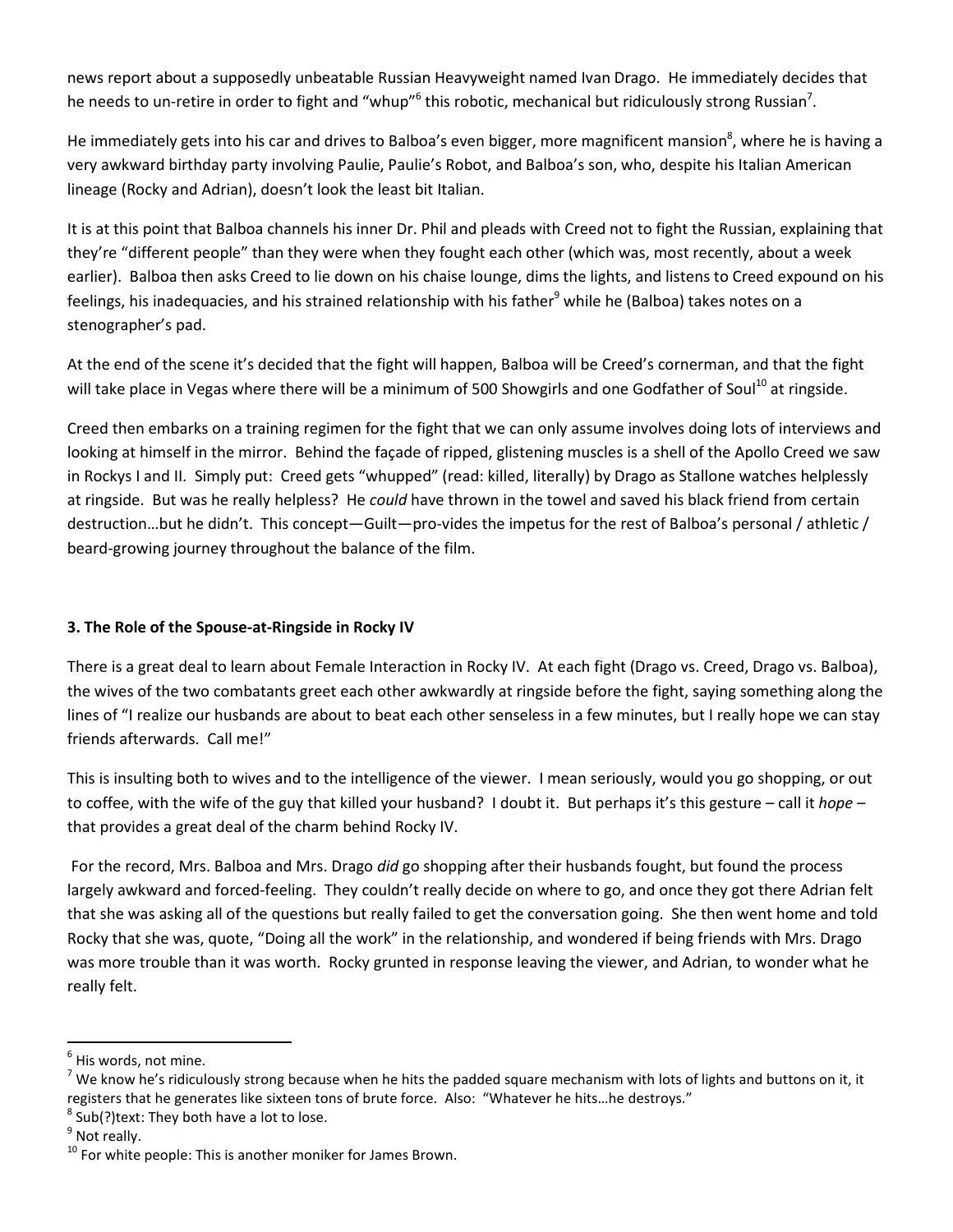news report about a supposedly unbeatable Russian Heavyweight named Ivan Drago. He immediately decides that he needs to un-retire in order to fight and "whup"<sup>6</sup> this robotic, mechanical but ridiculously strong Russian<sup>7</sup>.

He immediately gets into his car and drives to Balboa's even bigger, more magnificent mansion<sup>8</sup>, where he is having a very awkward birthday party involving Paulie, Paulie's Robot, and Balboa's son, who, despite his Italian American lineage (Rocky and Adrian), doesn't look the least bit Italian.

It is at this point that Balboa channels his inner Dr. Phil and pleads with Creed not to fight the Russian, explaining that they're "different people" than they were when they fought each other (which was, most recently, about a week earlier). Balboa then asks Creed to lie down on his chaise lounge, dims the lights, and listens to Creed expound on his feelings, his inadequacies, and his strained relationship with his father<sup>9</sup> while he (Balboa) takes notes on a stenographer's pad.

At the end of the scene it's decided that the fight will happen, Balboa will be Creed's cornerman, and that the fight will take place in Vegas where there will be a minimum of 500 Showgirls and one Godfather of Soul<sup>10</sup> at ringside.

Creed then embarks on a training regimen for the fight that we can only assume involves doing lots of interviews and looking at himself in the mirror. Behind the façade of ripped, glistening muscles is a shell of the Apollo Creed we saw in Rockys I and II. Simply put: Creed gets "whupped" (read: killed, literally) by Drago as Stallone watches helplessly at ringside. But was he really helpless? He *could* have thrown in the towel and saved his black friend from certain destruction…but he didn't. This concept—Guilt—pro-vides the impetus for the rest of Balboa's personal / athletic / beard-growing journey throughout the balance of the film.

#### **3. The Role of the Spouse-at-Ringside in Rocky IV**

There is a great deal to learn about Female Interaction in Rocky IV. At each fight (Drago vs. Creed, Drago vs. Balboa), the wives of the two combatants greet each other awkwardly at ringside before the fight, saying something along the lines of "I realize our husbands are about to beat each other senseless in a few minutes, but I really hope we can stay friends afterwards. Call me!"

This is insulting both to wives and to the intelligence of the viewer. I mean seriously, would you go shopping, or out to coffee, with the wife of the guy that killed your husband? I doubt it. But perhaps it's this gesture – call it *hope* – that provides a great deal of the charm behind Rocky IV.

 For the record, Mrs. Balboa and Mrs. Drago *did* go shopping after their husbands fought, but found the process largely awkward and forced-feeling. They couldn't really decide on where to go, and once they got there Adrian felt that she was asking all of the questions but really failed to get the conversation going. She then went home and told Rocky that she was, quote, "Doing all the work" in the relationship, and wondered if being friends with Mrs. Drago was more trouble than it was worth. Rocky grunted in response leaving the viewer, and Adrian, to wonder what he really felt.

 $^8$  Sub(?)text: They both have a lot to lose.

<sup>&</sup>lt;sup>6</sup> His words, not mine.

<sup>&</sup>lt;sup>7</sup> We know he's ridiculously strong because when he hits the padded square mechanism with lots of lights and buttons on it, it registers that he generates like sixteen tons of brute force. Also: "Whatever he hits…he destroys."

<sup>&</sup>lt;sup>9</sup> Not really.

 $10$  For white people: This is another moniker for James Brown.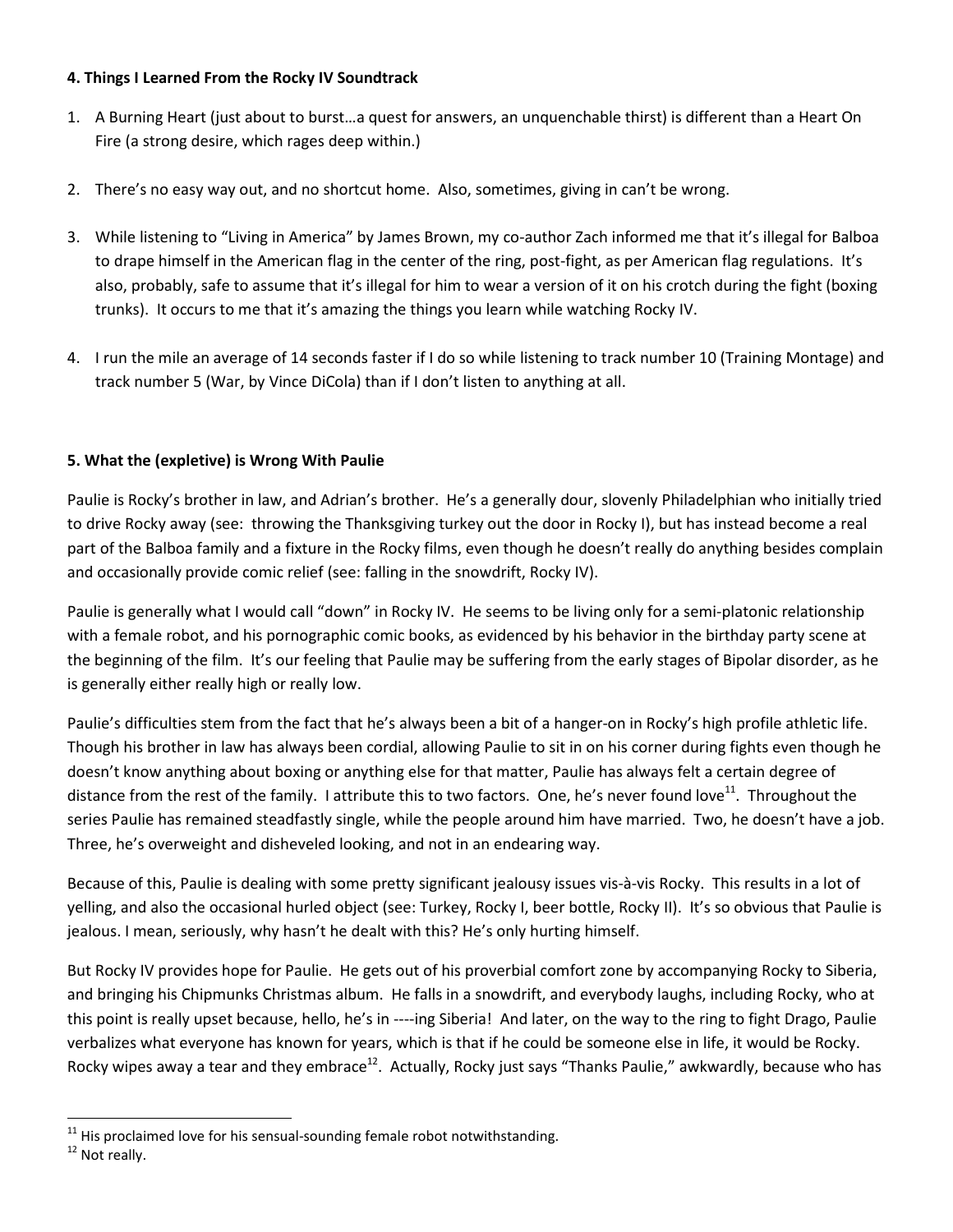#### **4. Things I Learned From the Rocky IV Soundtrack**

- 1. A Burning Heart (just about to burst…a quest for answers, an unquenchable thirst) is different than a Heart On Fire (a strong desire, which rages deep within.)
- 2. There's no easy way out, and no shortcut home. Also, sometimes, giving in can't be wrong.
- 3. While listening to "Living in America" by James Brown, my co-author Zach informed me that it's illegal for Balboa to drape himself in the American flag in the center of the ring, post-fight, as per American flag regulations. It's also, probably, safe to assume that it's illegal for him to wear a version of it on his crotch during the fight (boxing trunks). It occurs to me that it's amazing the things you learn while watching Rocky IV.
- 4. I run the mile an average of 14 seconds faster if I do so while listening to track number 10 (Training Montage) and track number 5 (War, by Vince DiCola) than if I don't listen to anything at all.

### **5. What the (expletive) is Wrong With Paulie**

Paulie is Rocky's brother in law, and Adrian's brother. He's a generally dour, slovenly Philadelphian who initially tried to drive Rocky away (see: throwing the Thanksgiving turkey out the door in Rocky I), but has instead become a real part of the Balboa family and a fixture in the Rocky films, even though he doesn't really do anything besides complain and occasionally provide comic relief (see: falling in the snowdrift, Rocky IV).

Paulie is generally what I would call "down" in Rocky IV. He seems to be living only for a semi-platonic relationship with a female robot, and his pornographic comic books, as evidenced by his behavior in the birthday party scene at the beginning of the film. It's our feeling that Paulie may be suffering from the early stages of Bipolar disorder, as he is generally either really high or really low.

Paulie's difficulties stem from the fact that he's always been a bit of a hanger-on in Rocky's high profile athletic life. Though his brother in law has always been cordial, allowing Paulie to sit in on his corner during fights even though he doesn't know anything about boxing or anything else for that matter, Paulie has always felt a certain degree of distance from the rest of the family. I attribute this to two factors. One, he's never found love<sup>11</sup>. Throughout the series Paulie has remained steadfastly single, while the people around him have married. Two, he doesn't have a job. Three, he's overweight and disheveled looking, and not in an endearing way.

Because of this, Paulie is dealing with some pretty significant jealousy issues vis-à-vis Rocky. This results in a lot of yelling, and also the occasional hurled object (see: Turkey, Rocky I, beer bottle, Rocky II). It's so obvious that Paulie is jealous. I mean, seriously, why hasn't he dealt with this? He's only hurting himself.

But Rocky IV provides hope for Paulie. He gets out of his proverbial comfort zone by accompanying Rocky to Siberia, and bringing his Chipmunks Christmas album. He falls in a snowdrift, and everybody laughs, including Rocky, who at this point is really upset because, hello, he's in ----ing Siberia! And later, on the way to the ring to fight Drago, Paulie verbalizes what everyone has known for years, which is that if he could be someone else in life, it would be Rocky. Rocky wipes away a tear and they embrace<sup>12</sup>. Actually, Rocky just says "Thanks Paulie," awkwardly, because who has

 $11$  His proclaimed love for his sensual-sounding female robot notwithstanding.

<sup>&</sup>lt;sup>12</sup> Not really.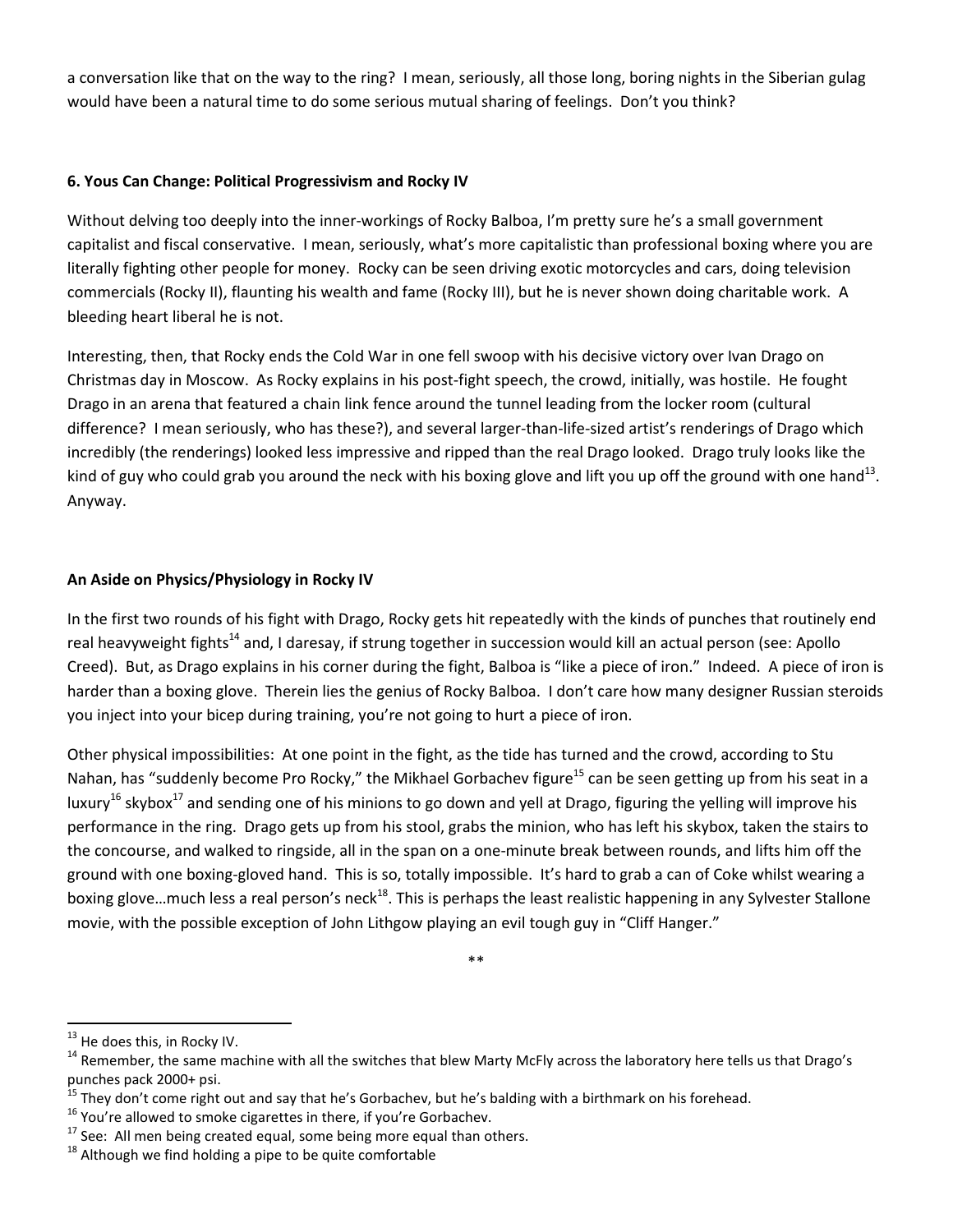a conversation like that on the way to the ring? I mean, seriously, all those long, boring nights in the Siberian gulag would have been a natural time to do some serious mutual sharing of feelings. Don't you think?

#### **6. Yous Can Change: Political Progressivism and Rocky IV**

Without delving too deeply into the inner-workings of Rocky Balboa, I'm pretty sure he's a small government capitalist and fiscal conservative. I mean, seriously, what's more capitalistic than professional boxing where you are literally fighting other people for money. Rocky can be seen driving exotic motorcycles and cars, doing television commercials (Rocky II), flaunting his wealth and fame (Rocky III), but he is never shown doing charitable work. A bleeding heart liberal he is not.

Interesting, then, that Rocky ends the Cold War in one fell swoop with his decisive victory over Ivan Drago on Christmas day in Moscow. As Rocky explains in his post-fight speech, the crowd, initially, was hostile. He fought Drago in an arena that featured a chain link fence around the tunnel leading from the locker room (cultural difference? I mean seriously, who has these?), and several larger-than-life-sized artist's renderings of Drago which incredibly (the renderings) looked less impressive and ripped than the real Drago looked. Drago truly looks like the kind of guy who could grab you around the neck with his boxing glove and lift you up off the ground with one hand<sup>13</sup>. Anyway.

#### **An Aside on Physics/Physiology in Rocky IV**

In the first two rounds of his fight with Drago, Rocky gets hit repeatedly with the kinds of punches that routinely end real heavyweight fights<sup>14</sup> and, I daresay, if strung together in succession would kill an actual person (see: Apollo Creed). But, as Drago explains in his corner during the fight, Balboa is "like a piece of iron." Indeed. A piece of iron is harder than a boxing glove. Therein lies the genius of Rocky Balboa. I don't care how many designer Russian steroids you inject into your bicep during training, you're not going to hurt a piece of iron.

Other physical impossibilities: At one point in the fight, as the tide has turned and the crowd, according to Stu Nahan, has "suddenly become Pro Rocky," the Mikhael Gorbachev figure<sup>15</sup> can be seen getting up from his seat in a luxurv<sup>16</sup> skybox<sup>17</sup> and sending one of his minions to go down and yell at Drago, figuring the yelling will improve his performance in the ring. Drago gets up from his stool, grabs the minion, who has left his skybox, taken the stairs to the concourse, and walked to ringside, all in the span on a one-minute break between rounds, and lifts him off the ground with one boxing-gloved hand. This is so, totally impossible. It's hard to grab a can of Coke whilst wearing a boxing glove...much less a real person's neck<sup>18</sup>. This is perhaps the least realistic happening in any Sylvester Stallone movie, with the possible exception of John Lithgow playing an evil tough guy in "Cliff Hanger."

\*\*

<sup>&</sup>lt;sup>13</sup> He does this, in Rocky IV.

 $14$  Remember, the same machine with all the switches that blew Marty McFly across the laboratory here tells us that Drago's punches pack 2000+ psi.

<sup>&</sup>lt;sup>15</sup> They don't come right out and say that he's Gorbachev, but he's balding with a birthmark on his forehead.

 $16$  You're allowed to smoke cigarettes in there, if you're Gorbachev.

 $17$  See: All men being created equal, some being more equal than others.

 $18$  Although we find holding a pipe to be quite comfortable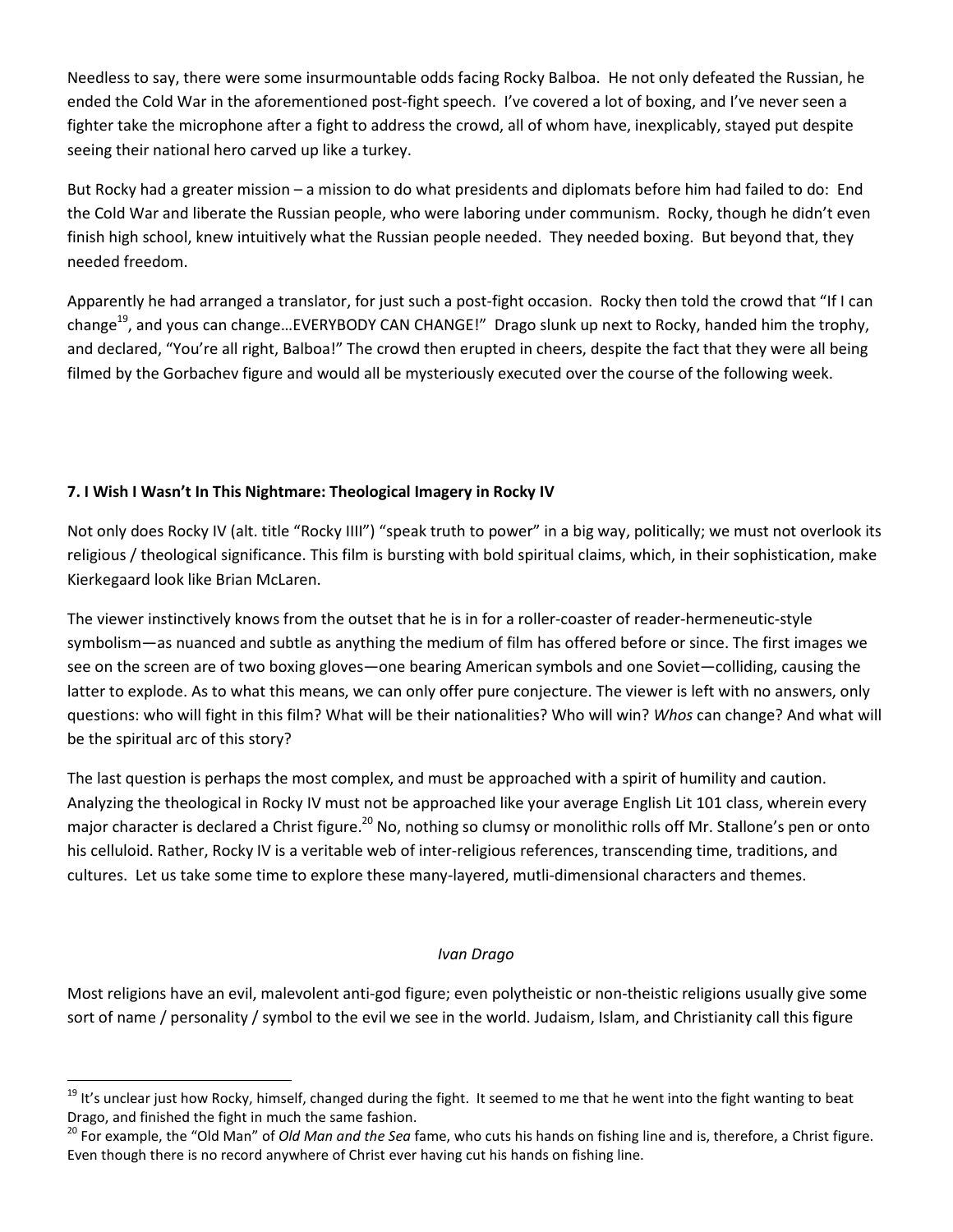Needless to say, there were some insurmountable odds facing Rocky Balboa. He not only defeated the Russian, he ended the Cold War in the aforementioned post-fight speech. I've covered a lot of boxing, and I've never seen a fighter take the microphone after a fight to address the crowd, all of whom have, inexplicably, stayed put despite seeing their national hero carved up like a turkey.

But Rocky had a greater mission – a mission to do what presidents and diplomats before him had failed to do: End the Cold War and liberate the Russian people, who were laboring under communism. Rocky, though he didn't even finish high school, knew intuitively what the Russian people needed. They needed boxing. But beyond that, they needed freedom.

Apparently he had arranged a translator, for just such a post-fight occasion. Rocky then told the crowd that "If I can change<sup>19</sup>, and yous can change...EVERYBODY CAN CHANGE!" Drago slunk up next to Rocky, handed him the trophy, and declared, "You're all right, Balboa!" The crowd then erupted in cheers, despite the fact that they were all being filmed by the Gorbachev figure and would all be mysteriously executed over the course of the following week.

### **7. I Wish I Wasn't In This Nightmare: Theological Imagery in Rocky IV**

l

Not only does Rocky IV (alt. title "Rocky IIII") "speak truth to power" in a big way, politically; we must not overlook its religious / theological significance. This film is bursting with bold spiritual claims, which, in their sophistication, make Kierkegaard look like Brian McLaren.

The viewer instinctively knows from the outset that he is in for a roller-coaster of reader-hermeneutic-style symbolism—as nuanced and subtle as anything the medium of film has offered before or since. The first images we see on the screen are of two boxing gloves—one bearing American symbols and one Soviet—colliding, causing the latter to explode. As to what this means, we can only offer pure conjecture. The viewer is left with no answers, only questions: who will fight in this film? What will be their nationalities? Who will win? *Whos* can change? And what will be the spiritual arc of this story?

The last question is perhaps the most complex, and must be approached with a spirit of humility and caution. Analyzing the theological in Rocky IV must not be approached like your average English Lit 101 class, wherein every major character is declared a Christ figure.<sup>20</sup> No, nothing so clumsy or monolithic rolls off Mr. Stallone's pen or onto his celluloid. Rather, Rocky IV is a veritable web of inter-religious references, transcending time, traditions, and cultures. Let us take some time to explore these many-layered, mutli-dimensional characters and themes.

#### *Ivan Drago*

Most religions have an evil, malevolent anti-god figure; even polytheistic or non-theistic religions usually give some sort of name / personality / symbol to the evil we see in the world. Judaism, Islam, and Christianity call this figure

<sup>&</sup>lt;sup>19</sup> It's unclear just how Rocky, himself, changed during the fight. It seemed to me that he went into the fight wanting to beat Drago, and finished the fight in much the same fashion.

<sup>20</sup> For example, the "Old Man" of *Old Man and the Sea* fame, who cuts his hands on fishing line and is, therefore, a Christ figure. Even though there is no record anywhere of Christ ever having cut his hands on fishing line.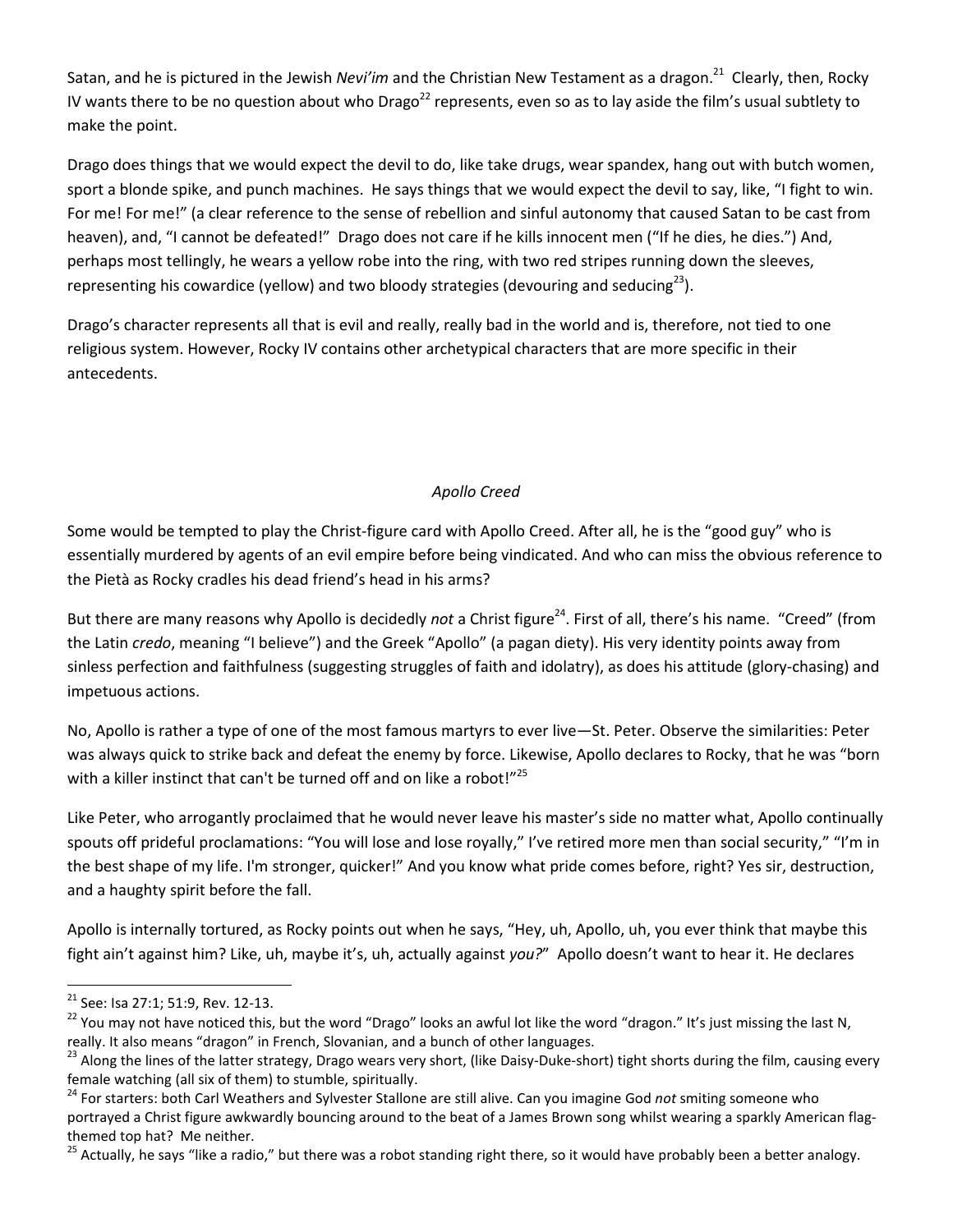Satan, and he is pictured in the Jewish *Nevi'im* and the Christian New Testament as a dragon.<sup>21</sup> Clearly, then. Rocky IV wants there to be no question about who Drago<sup>22</sup> represents, even so as to lay aside the film's usual subtlety to make the point.

Drago does things that we would expect the devil to do, like take drugs, wear spandex, hang out with butch women, sport a blonde spike, and punch machines. He says things that we would expect the devil to say, like, "I fight to win. For me! For me!" (a clear reference to the sense of rebellion and sinful autonomy that caused Satan to be cast from heaven), and, "I cannot be defeated!" Drago does not care if he kills innocent men ("If he dies, he dies.") And, perhaps most tellingly, he wears a yellow robe into the ring, with two red stripes running down the sleeves, representing his cowardice (yellow) and two bloody strategies (devouring and seducing<sup>23</sup>).

Drago's character represents all that is evil and really, really bad in the world and is, therefore, not tied to one religious system. However, Rocky IV contains other archetypical characters that are more specific in their antecedents.

# *Apollo Creed*

Some would be tempted to play the Christ-figure card with Apollo Creed. After all, he is the "good guy" who is essentially murdered by agents of an evil empire before being vindicated. And who can miss the obvious reference to the Pietà as Rocky cradles his dead friend's head in his arms?

But there are many reasons why Apollo is decidedly *not* a Christ figure<sup>24</sup>. First of all, there's his name. "Creed" (from the Latin *credo*, meaning "I believe") and the Greek "Apollo" (a pagan diety). His very identity points away from sinless perfection and faithfulness (suggesting struggles of faith and idolatry), as does his attitude (glory-chasing) and impetuous actions.

No, Apollo is rather a type of one of the most famous martyrs to ever live—St. Peter. Observe the similarities: Peter was always quick to strike back and defeat the enemy by force. Likewise, Apollo declares to Rocky, that he was "born with a killer instinct that can't be turned off and on like a robot!" $^{25}$ 

Like Peter, who arrogantly proclaimed that he would never leave his master's side no matter what, Apollo continually spouts off prideful proclamations: "You will lose and lose royally," I've retired more men than social security," "I'm in the best shape of my life. I'm stronger, quicker!" And you know what pride comes before, right? Yes sir, destruction, and a haughty spirit before the fall.

Apollo is internally tortured, as Rocky points out when he says, "Hey, uh, Apollo, uh, you ever think that maybe this fight ain't against him? Like, uh, maybe it's, uh, actually against *you?*" Apollo doesn't want to hear it. He declares

<sup>21</sup> See: Isa 27:1; 51:9, Rev. 12-13.

<sup>&</sup>lt;sup>22</sup> You may not have noticed this, but the word "Drago" looks an awful lot like the word "dragon." It's just missing the last N, really. It also means "dragon" in French, Slovanian, and a bunch of other languages.

<sup>&</sup>lt;sup>23</sup> Along the lines of the latter strategy, Drago wears very short, (like Daisy-Duke-short) tight shorts during the film, causing every female watching (all six of them) to stumble, spiritually.

<sup>&</sup>lt;sup>24</sup> For starters: both Carl Weathers and Sylvester Stallone are still alive. Can you imagine God not smiting someone who portrayed a Christ figure awkwardly bouncing around to the beat of a James Brown song whilst wearing a sparkly American flagthemed top hat? Me neither.

<sup>&</sup>lt;sup>25</sup> Actually, he says "like a radio," but there was a robot standing right there, so it would have probably been a better analogy.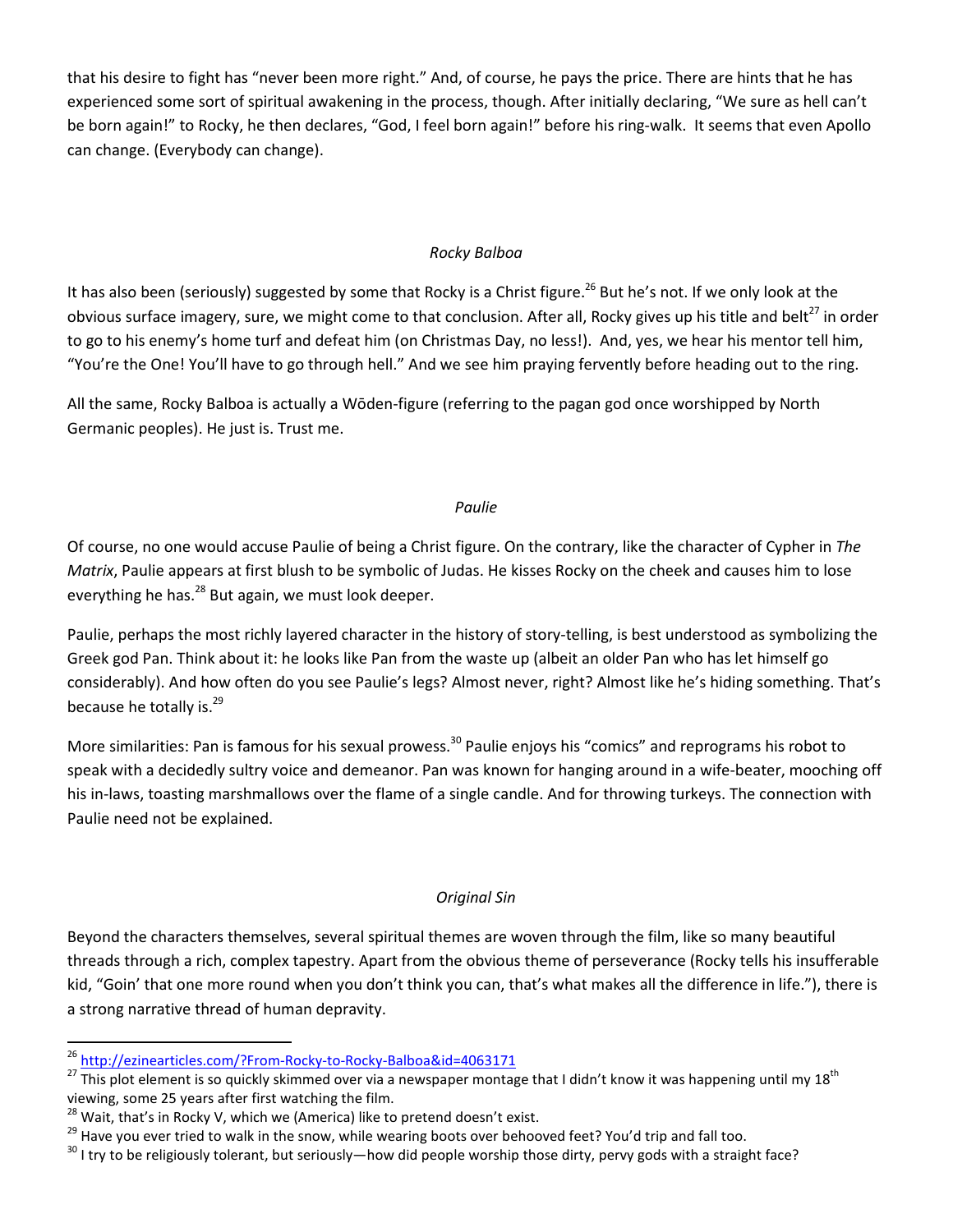that his desire to fight has "never been more right." And, of course, he pays the price. There are hints that he has experienced some sort of spiritual awakening in the process, though. After initially declaring, "We sure as hell can't be born again!" to Rocky, he then declares, "God, I feel born again!" before his ring-walk. It seems that even Apollo can change. (Everybody can change).

#### *Rocky Balboa*

It has also been (seriously) suggested by some that Rocky is a Christ figure.<sup>26</sup> But he's not. If we only look at the obvious surface imagery, sure, we might come to that conclusion. After all, Rocky gives up his title and belt<sup>27</sup> in order to go to his enemy's home turf and defeat him (on Christmas Day, no less!). And, yes, we hear his mentor tell him, "You're the One! You'll have to go through hell." And we see him praying fervently before heading out to the ring.

All the same, Rocky Balboa is actually a Wōden-figure (referring to the pagan god once worshipped by North Germanic peoples). He just is. Trust me.

#### *Paulie*

Of course, no one would accuse Paulie of being a Christ figure. On the contrary, like the character of Cypher in *The Matrix*, Paulie appears at first blush to be symbolic of Judas. He kisses Rocky on the cheek and causes him to lose everything he has.<sup>28</sup> But again, we must look deeper.

Paulie, perhaps the most richly layered character in the history of story-telling, is best understood as symbolizing the Greek god Pan. Think about it: he looks like Pan from the waste up (albeit an older Pan who has let himself go considerably). And how often do you see Paulie's legs? Almost never, right? Almost like he's hiding something. That's because he totally is.<sup>29</sup>

More similarities: Pan is famous for his sexual prowess.<sup>30</sup> Paulie enjoys his "comics" and reprograms his robot to speak with a decidedly sultry voice and demeanor. Pan was known for hanging around in a wife-beater, mooching off his in-laws, toasting marshmallows over the flame of a single candle. And for throwing turkeys. The connection with Paulie need not be explained.

#### *Original Sin*

Beyond the characters themselves, several spiritual themes are woven through the film, like so many beautiful threads through a rich, complex tapestry. Apart from the obvious theme of perseverance (Rocky tells his insufferable kid, "Goin' that one more round when you don't think you can, that's what makes all the difference in life."), there is a strong narrative thread of human depravity.

<sup>26</sup> http://ezinearticles.com/?From-Rocky-to-Rocky-Balboa&id=4063171

<sup>&</sup>lt;sup>27</sup> This plot element is so quickly skimmed over via a newspaper montage that I didn't know it was happening until my 18<sup>th</sup> viewing, some 25 years after first watching the film.

 $28$  Wait, that's in Rocky V, which we (America) like to pretend doesn't exist.

<sup>&</sup>lt;sup>29</sup> Have you ever tried to walk in the snow, while wearing boots over behooved feet? You'd trip and fall too.

<sup>&</sup>lt;sup>30</sup> I try to be religiously tolerant, but seriously—how did people worship those dirty, pervy gods with a straight face?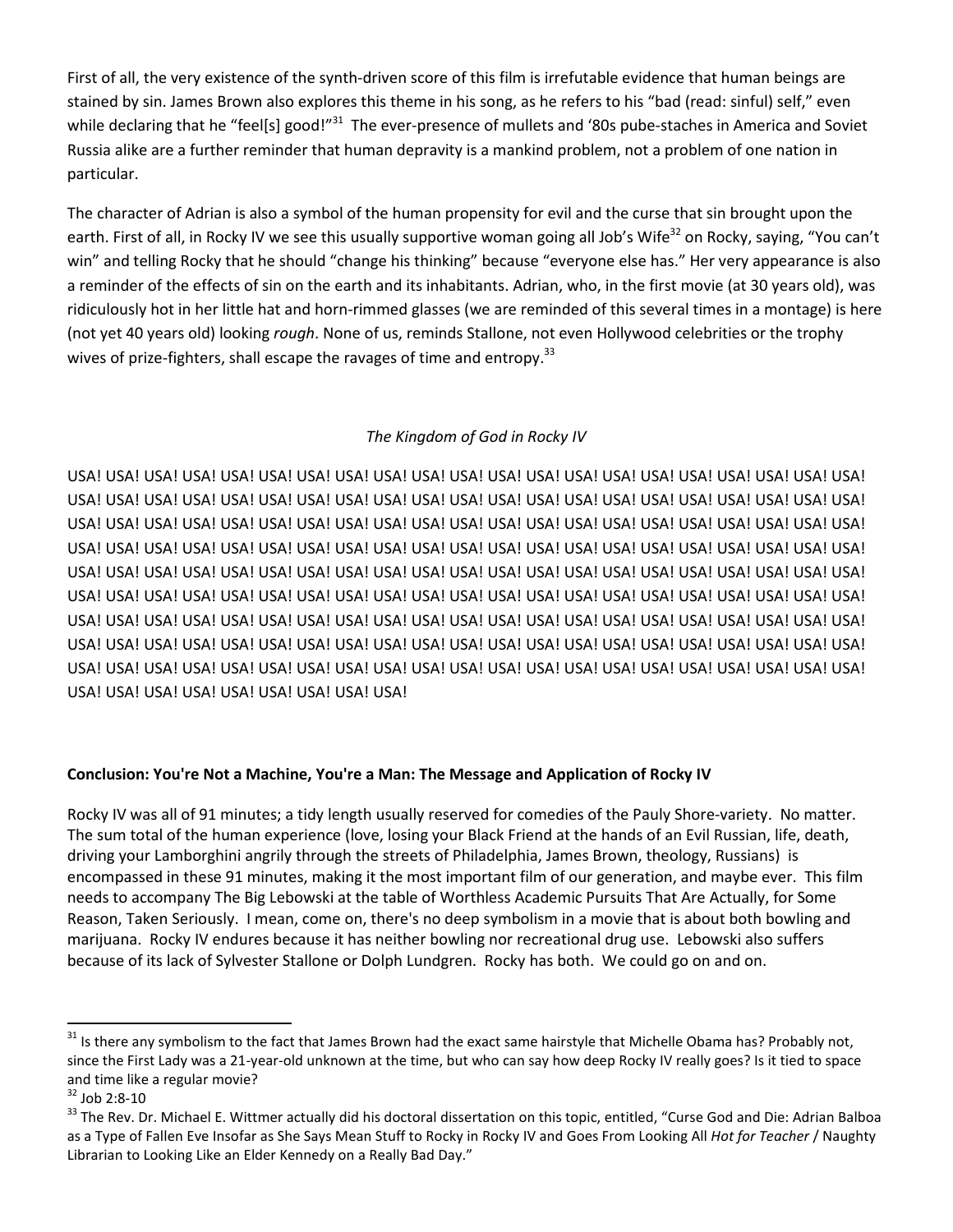First of all, the very existence of the synth-driven score of this film is irrefutable evidence that human beings are stained by sin. James Brown also explores this theme in his song, as he refers to his "bad (read: sinful) self," even while declaring that he "feel[s] good!"<sup>31</sup> The ever-presence of mullets and '80s pube-staches in America and Soviet Russia alike are a further reminder that human depravity is a mankind problem, not a problem of one nation in particular.

The character of Adrian is also a symbol of the human propensity for evil and the curse that sin brought upon the earth. First of all, in Rocky IV we see this usually supportive woman going all Job's Wife<sup>32</sup> on Rocky, saying, "You can't win" and telling Rocky that he should "change his thinking" because "everyone else has." Her very appearance is also a reminder of the effects of sin on the earth and its inhabitants. Adrian, who, in the first movie (at 30 years old), was ridiculously hot in her little hat and horn-rimmed glasses (we are reminded of this several times in a montage) is here (not yet 40 years old) looking *rough*. None of us, reminds Stallone, not even Hollywood celebrities or the trophy wives of prize-fighters, shall escape the ravages of time and entropy.<sup>33</sup>

# *The Kingdom of God in Rocky IV*

USA! USA! USA! USA! USA! USA! USA! USA! USA! USA! USA! USA! USA! USA! USA! USA! USA! USA! USA! USA! USA! USA! USA! USA! USA! USA! USA! USA! USA! USA! USA! USA! USA! USA! USA! USA! USA! USA! USA! USA! USA! USA! USA! USA! USA! USA! USA! USA! USA! USA! USA! USA! USA! USA! USA! USA! USA! USA! USA! USA! USA! USA! USA! USA! USA! USA! USA! USA! USA! USA! USA! USA! USA! USA! USA! USA! USA! USA! USA! USA! USA! USA! USA! USA! USA! USA! USA! USA! USA! USA! USA! USA! USA! USA! USA! USA! USA! USA! USA! USA! USA! USA! USA! USA! USA! USA! USA! USA! USA! USA! USA! USA! USA! USA! USA! USA! USA! USA! USA! USA! USA! USA! USA! USA! USA! USA! USA! USA! USA! USA! USA! USA! USA! USA! USA! USA! USA! USA! USA! USA! USA! USA! USA! USA! USA! USA! USA! USA! USA! USA! USA! USA! USA! USA! USA! USA! USA! USA! USA! USA! USA! USA! USA! USA! USA! USA! USA! USA! USA! USA! USA! USA! USA! USA! USA! USA! USA! USA! USA! USA! USA! USA! USA! USA! USA! USA! USA! USA! USA! USA! USA! USA! USA! USA! USA! USA! USA! USA!

#### **Conclusion: You're Not a Machine, You're a Man: The Message and Application of Rocky IV**

Rocky IV was all of 91 minutes; a tidy length usually reserved for comedies of the Pauly Shore-variety. No matter. The sum total of the human experience (love, losing your Black Friend at the hands of an Evil Russian, life, death, driving your Lamborghini angrily through the streets of Philadelphia, James Brown, theology, Russians) is encompassed in these 91 minutes, making it the most important film of our generation, and maybe ever. This film needs to accompany The Big Lebowski at the table of Worthless Academic Pursuits That Are Actually, for Some Reason, Taken Seriously. I mean, come on, there's no deep symbolism in a movie that is about both bowling and marijuana. Rocky IV endures because it has neither bowling nor recreational drug use. Lebowski also suffers because of its lack of Sylvester Stallone or Dolph Lundgren. Rocky has both. We could go on and on.

 $31$  Is there any symbolism to the fact that James Brown had the exact same hairstyle that Michelle Obama has? Probably not, since the First Lady was a 21-year-old unknown at the time, but who can say how deep Rocky IV really goes? Is it tied to space and time like a regular movie?

 $32$  Job 2:8-10

<sup>&</sup>lt;sup>33</sup> The Rev. Dr. Michael E. Wittmer actually did his doctoral dissertation on this topic, entitled, "Curse God and Die: Adrian Balboa as a Type of Fallen Eve Insofar as She Says Mean Stuff to Rocky in Rocky IV and Goes From Looking All *Hot for Teacher* / Naughty Librarian to Looking Like an Elder Kennedy on a Really Bad Day."